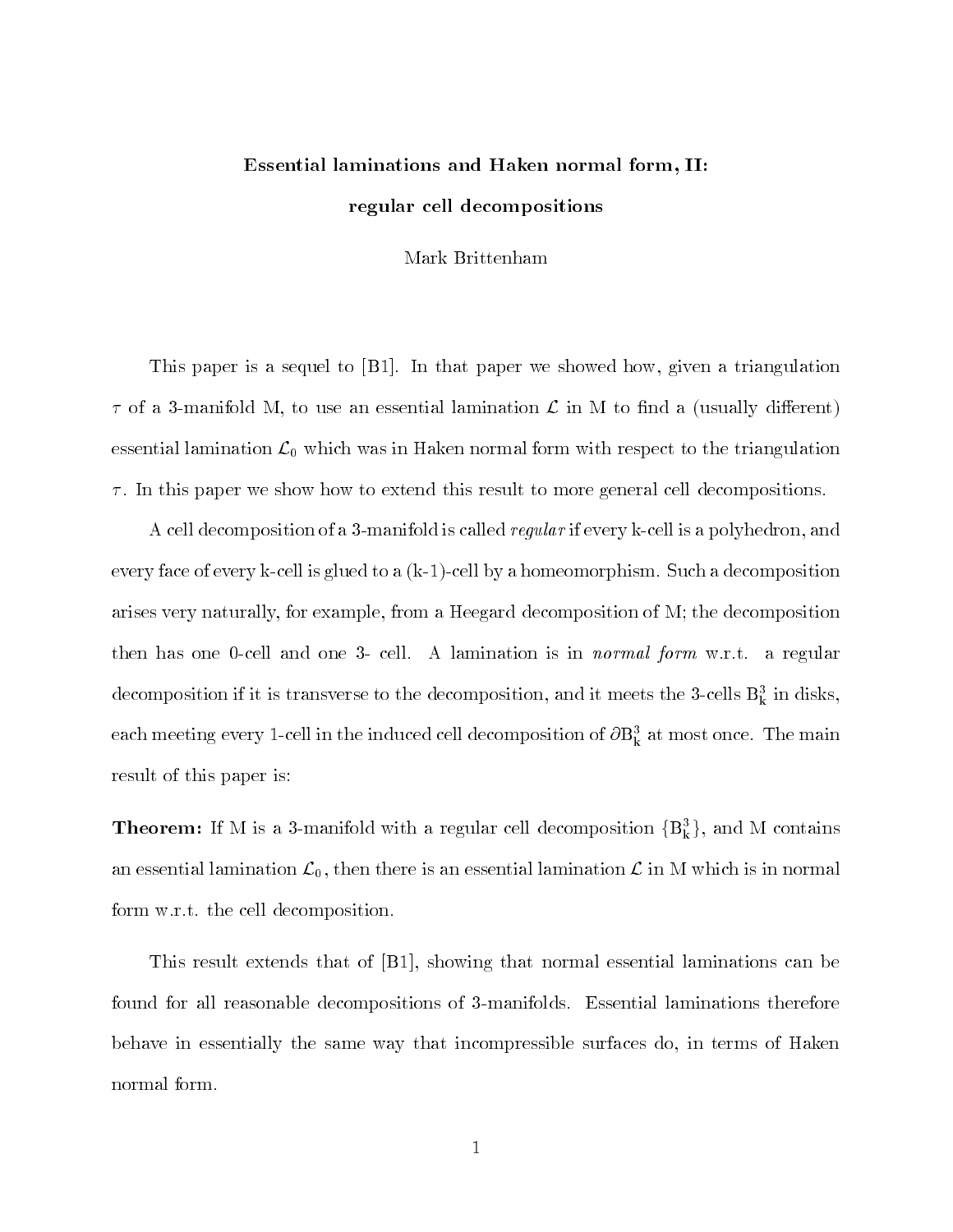# Essential laminations and Haken normal form, II:regular cell decompositions

Mark Brittenham

This paper is a sequel to [B1]. In that paper we showed how, given a triangulation  $\tau$  of a 3-manifold M, to use an essential lamination  $\mathcal L$  in M to find a (usually different) essential lamination  $\mathcal{L}_0$  which was in Haken normal form with respect to the triangulation  $\tau$ . In this paper we show how to extend this result to more general cell decompositions.

A cell decomposition of a 3-manifold is called *regular* if every k-cell is a polyhedron, and every face of every k-cell is glued to a (k-1)-cell by a homeomorphism. Such a decomposition arises very naturally, for example, from a Heegard decomposition of M; the decomposition then has one 0-cell and one 3- cell. A lamination is in normal form w.r.t. a regular decomposition if it is transverse to the decomposition, and it meets the  $\rm 3\text{-}cens$   $\rm B_k$  in disks, each meeting every 1-cell in the induced cell decomposition of  $\mathbf{\sigma}\mathbf{b}_k^T$  at most once. The main result of this paper is:

**Theorem:** If M is a 3-manifold with a regular cell decomposition  $\{B_k^3\}$ , and M contains an essential lamination  $\mathcal{L}_0$ , then there is an essential lamination  $\mathcal{L}$  in M which is in normal form w.r.t. the cell decomposition.

This result extends that of [B1], showing that normal essential laminations can be found for all reasonable decompositions of 3-manifolds. Essential laminations therefore behave in essentially the same way that incompressible surfaces do, in terms of Haken normal form.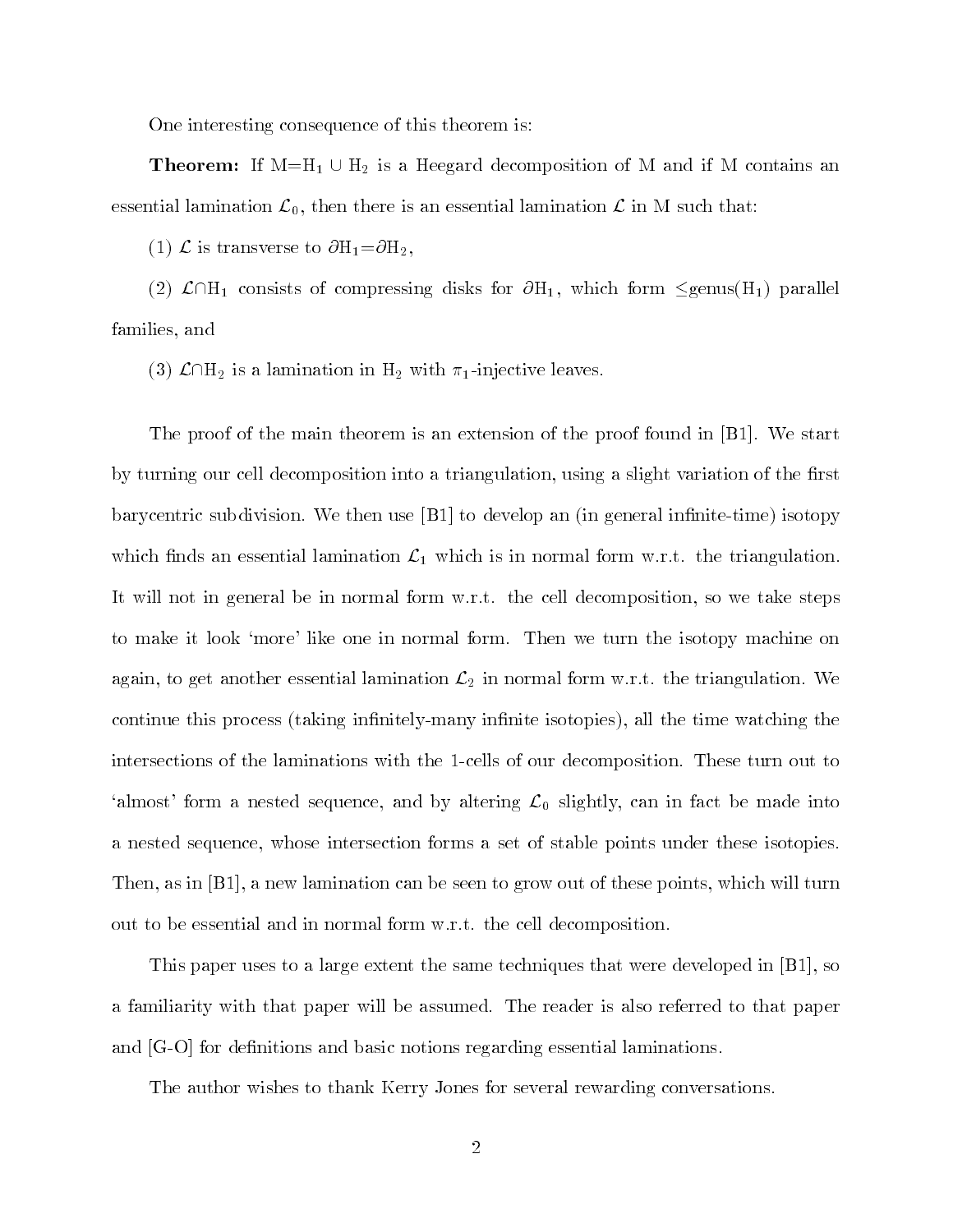One interesting consequence of this theorem is:

**Theorem:** If  $M=H_1 \cup H_2$  is a Heegard decomposition of M and if M contains an essential lamination  $\mathcal{L}_0$ , then there is an essential lamination  $\mathcal{L}$  in M such that:

(1)  $\mathcal{L}$  is transverse to  $\partial H_1 = \partial H_2$ ,

(2)  $\mathcal{L}\cap H_1$  consists of compressing disks for  $\partial H_1$ , which form  $\leq$ genus(H<sub>1</sub>) parallel families, and

(3)  $\mathcal{L}\cap H_2$  is a lamination in  $H_2$  with  $\pi_1$ -injective leaves.

The proof of the main theorem is an extension of the proof found in [B1]. We start by turning our cell decomposition into a triangulation, using a slight variation of the first barycentric subdivision. We then use  $[**B**1]$  to develop an (in general infinite-time) isotopy which finds an essential lamination  $\mathcal{L}_1$  which is in normal form w.r.t. the triangulation. It will not in general be in normal form w.r.t. the cell decomposition, so we take steps to make it look `more' like one in normal form. Then we turn the isotopy machine on again, to get another essential lamination  $\mathcal{L}_2$  in normal form w.r.t. the triangulation. We continue this process (taking infinitely-many infinite isotopies), all the time watching the intersections of the laminations with the 1-cells of our decomposition. These turn out to 'almost' form a nested sequence, and by altering  $\mathcal{L}_0$  slightly, can in fact be made into a nested sequence, whose intersection forms a set of stable points under these isotopies. Then, as in [B1], a new lamination can be seen to grow out of these points, which will turn out to be essential and in normal form w.r.t. the cell decomposition.

This paper uses to a large extent the same techniques that were developed in [B1], so a familiarity with that paper will be assumed. The reader is also referred to that paper and  $[G-O]$  for definitions and basic notions regarding essential laminations.

The author wishes to thank Kerry Jones for several rewarding conversations.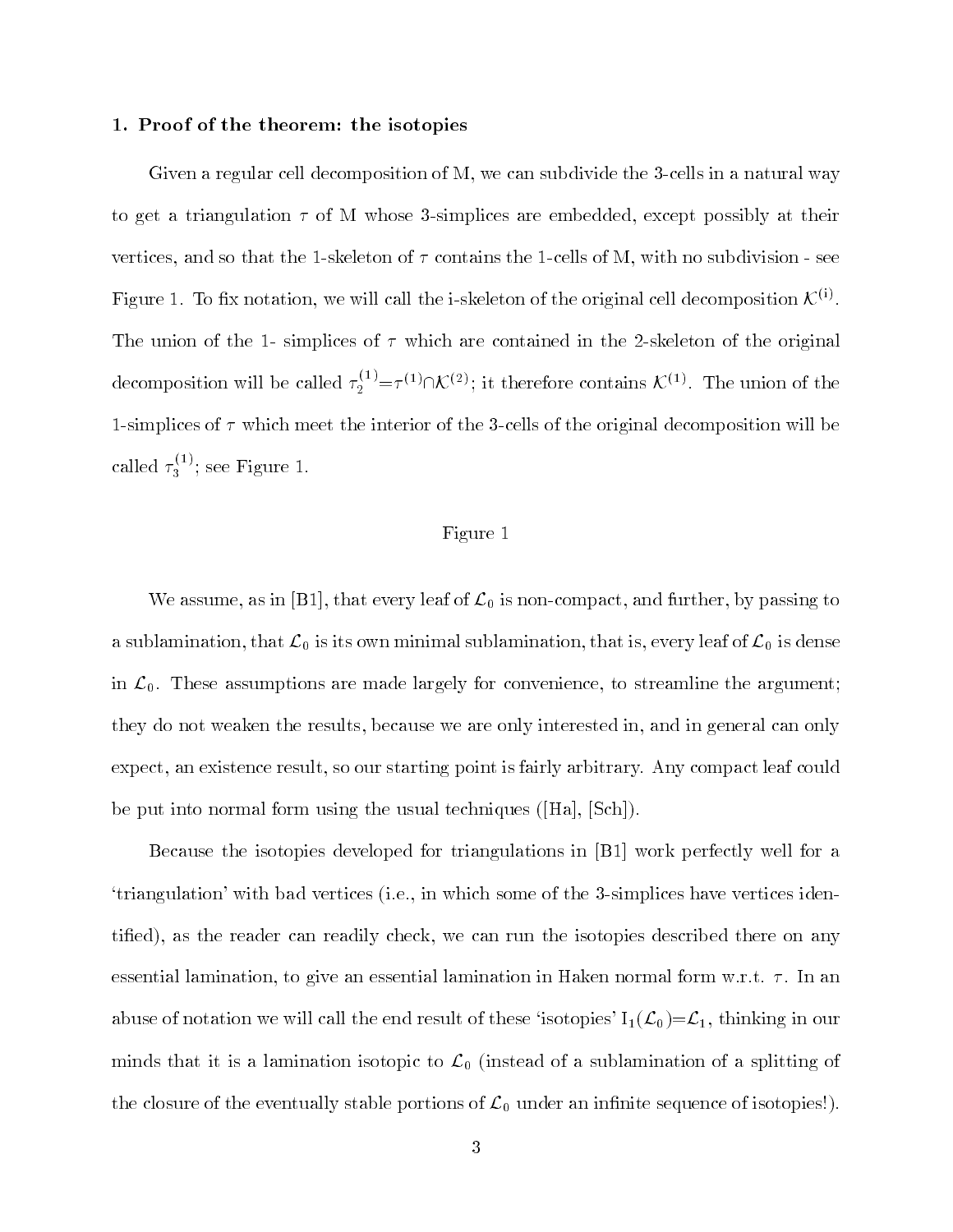## 1. Proof of the theorem: the isotopies

Given a regular cell decomposition of M, we can subdivide the 3-cells in a natural way to get a triangulation  $\tau$  of M whose 3-simplices are embedded, except possibly at their vertices, and so that the 1-skeleton of  $\tau$  contains the 1-cells of M, with no subdivision - see Figure 1. To fix notation, we will call the i-skeleton of the original cell decomposition  $\mathcal{K}^{(1)}$ . The union of the 1- simplices of  $\tau$  which are contained in the 2-skeleton of the original decomposition will be called  $\tau_2^{(1)} = \tau^{(1)} \cap \mathcal{K}^{(2)}$ ; it therefore contains  $\mathcal{K}^{(1)}$ . The union of the 1-simplices of  $\tau$  which meet the interior of the 3-cells of the original decomposition will be called  $\tau_3^{<\sim}$ ; see Figure 1.

# Figure 1

We assume, as in [B1], that every leaf of  $\mathcal{L}_0$  is non-compact, and further, by passing to a sublamination, that  $\mathcal{L}_0$  is its own minimal sublamination, that is, every leaf of  $\mathcal{L}_0$  is dense in  $\mathcal{L}_0$ . These assumptions are made largely for convenience, to streamline the argument; they do not weaken the results, because we are only interested in, and in general can only expect, an existence result, so our starting point is fairly arbitrary. Any compact leaf could be put into normal form using the usual techniques ([Ha], [Sch]).

Because the isotopies developed for triangulations in [B1] work perfectly well for a `triangulation' with bad vertices (i.e., in which some of the 3-simplices have vertices identied), as the reader can readily check, we can run the isotopies described there on any essential lamination, to give an essential lamination in Haken normal form w.r.t.  $\tau$ . In an abuse of notation we will call the end result of these 'isotopies'  $I_1(\mathcal{L}_0)=\mathcal{L}_1$ , thinking in our minds that it is a lamination isotopic to  $\mathcal{L}_0$  (instead of a sublamination of a splitting of the closure of the eventually stable portions of  $\mathcal{L}_0$  under an infinite sequence of isotopies!).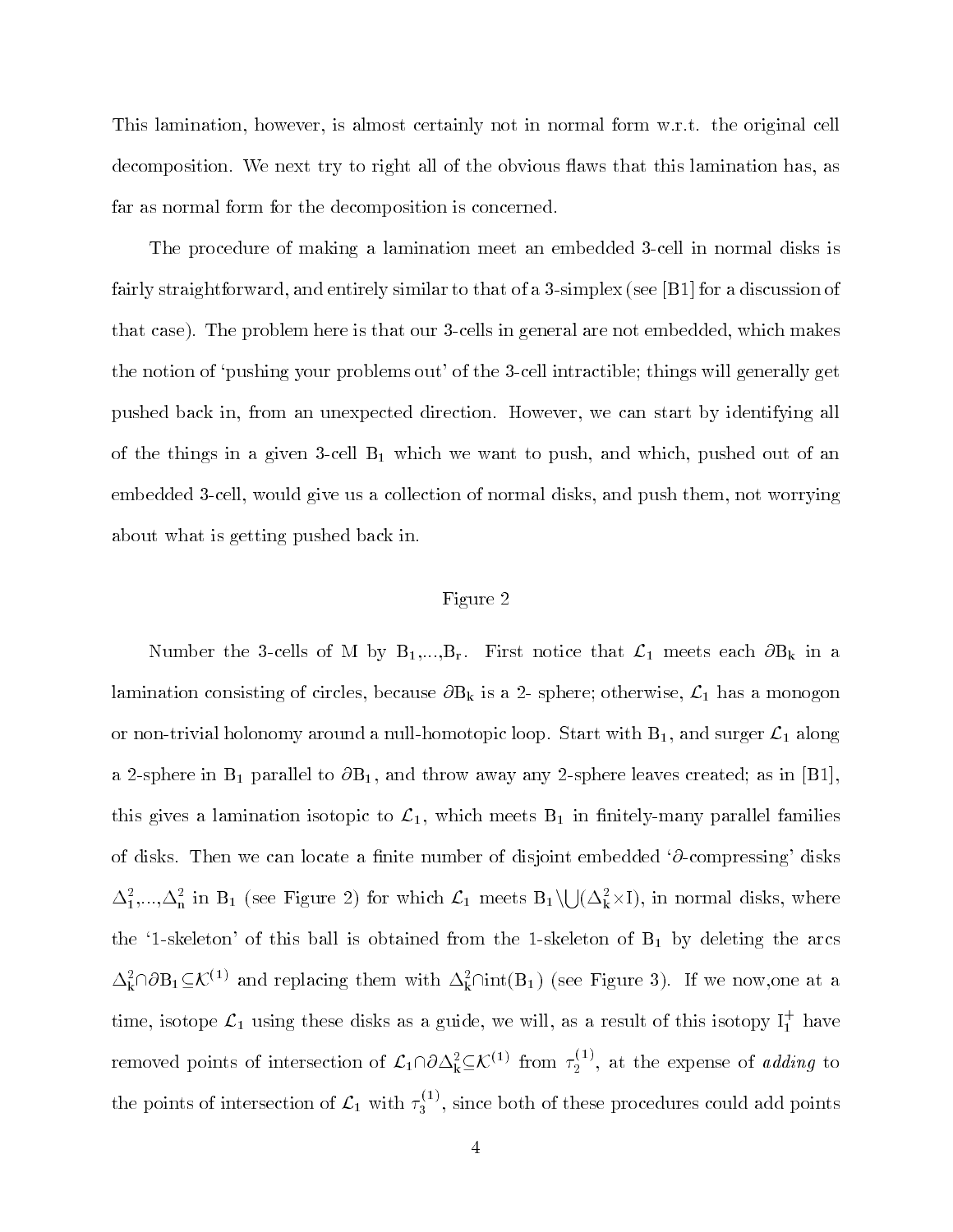This lamination, however, is almost certainly not in normal form w.r.t. the original cell decomposition. We next try to right all of the obvious flaws that this lamination has, as far as normal form for the decomposition is concerned.

The procedure of making a lamination meet an embedded 3-cell in normal disks is fairly straightforward, and entirely similar to that of a 3-simplex (see [B1] for a discussion of that case). The problem here is that our 3-cells in general are not embedded, which makes the notion of `pushing your problems out' of the 3-cell intractible; things will generally get pushed back in, from an unexpected direction. However, we can start by identifying all of the things in a given 3-cell  $B_1$  which we want to push, and which, pushed out of an embedded 3-cell, would give us a collection of normal disks, and push them, not worrying about what is getting pushed back in.

# Figure 2

Number the 3-cells of M by  $B_1,...,B_r$ . First notice that  $\mathcal{L}_1$  meets each  $\partial B_k$  in a lamination consisting of circles, because  $\partial B_k$  is a 2- sphere; otherwise,  $\mathcal{L}_1$  has a monogon or non-trivial holonomy around a null-homotopic loop. Start with  $B_1$ , and surger  $\mathcal{L}_1$  along a 2-sphere in  $B_1$  parallel to  $\partial B_1$ , and throw away any 2-sphere leaves created; as in [B1], this gives a lamination isotopic to  $\mathcal{L}_1$ , which meets  $B_1$  in finitely-many parallel families of disks. Then we can locate a finite number of disjoint embedded  $\partial$ -compressing' disks  $\Delta_1^2,...,\Delta_n^2$  in B<sub>1</sub> (see Figure 2) for which  $\mathcal{L}_1$  meets  $B_1\setminus\bigcup(\Delta_k^2\times I)$ , in normal disks, where the '1-skeleton' of this ball is obtained from the 1-skeleton of  $B_1$  by deleting the arcs  $\Delta_k^2 \cap \partial B_1 \subseteq \mathcal{K}^{(1)}$  and replacing them with  $\Delta_k^2 \cap int(B_1)$  (see Figure 3). If we now, one at a time, isotope  $\mathcal{L}_1$  using these disks as a guide, we will, as a result of this isotopy  $I_1^+$  have removed points of intersection of  $\mathcal{L}_1\cap\partial\Delta^2_k\subseteq\mathcal{K}^{(1)}$  from  $\tau_2^{(1)}$ , at the expense of *adding* to the points of intersection of  $\mathcal{L}_1$  with  $\tau_3^{(1)}$ , since both of these procedures could add points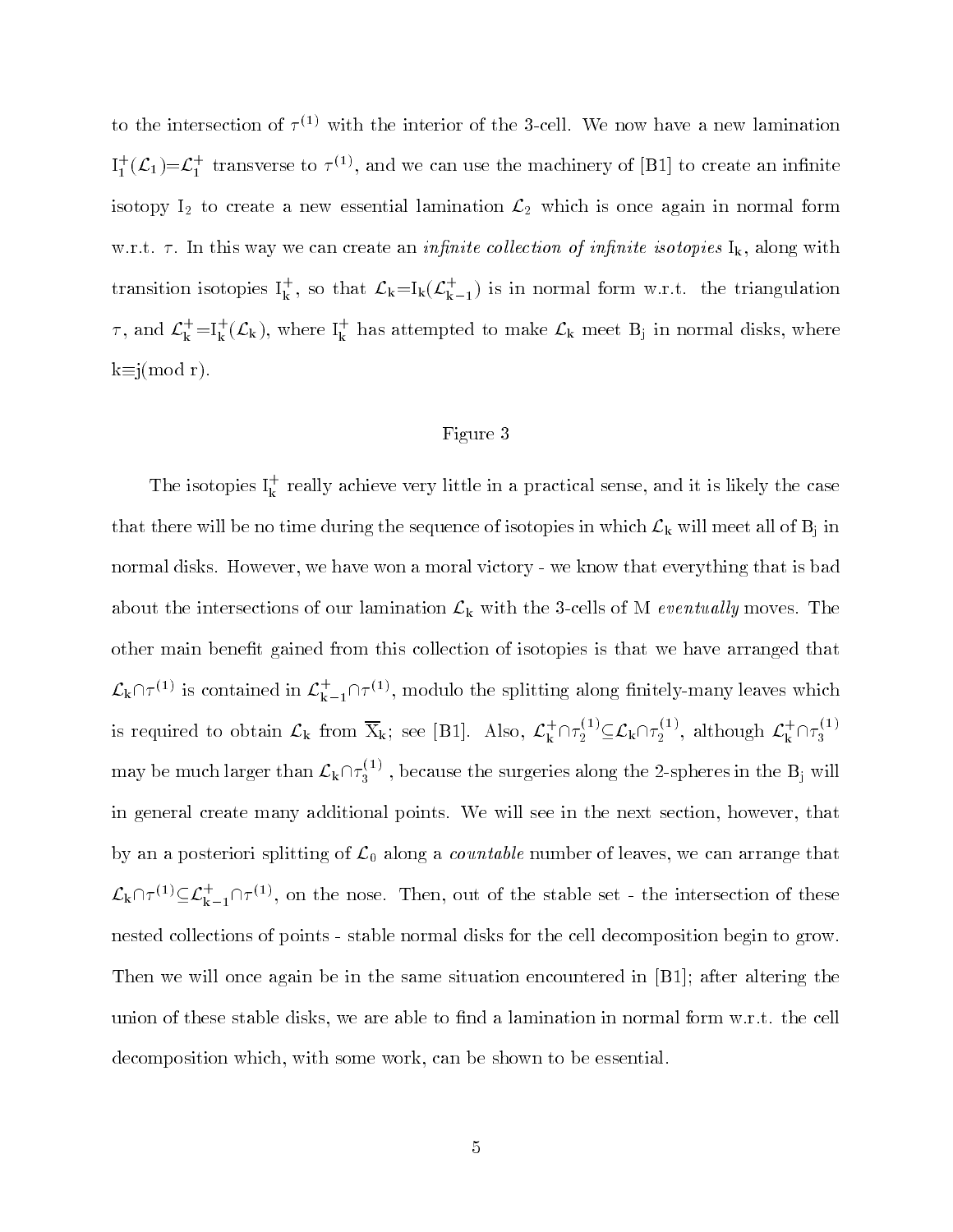to the intersection of  $\tau^{<\gamma}$  with the interior of the 3-cell. We now have a new lamination  $I_1^+(\mathcal{L}_1)=\mathcal{L}_1^+$  transverse to  $\tau^{(1)}$ , and we can use the machinery of [B1] to create an infinite isotopy  $I_2$  to create a new essential lamination  $\mathcal{L}_2$  which is once again in normal form w.r.t.  $\tau$ . In this way we can create an *infinite collection of infinite isotopies*  $I_k$ , along with transition isotopies  $I_k^+$ , so that  $\mathcal{L}_k = I_k(\mathcal{L}_{k-1}^+)$  is in normal form w.r.t. the triangulation  $\tau$ , and  $\mathcal{L}_{\mathbf{k}}^+$ =I<sub>k</sub> $(\mathcal{L}_{\mathbf{k}})$ , where I<sub>k</sub> has attempted to make  $\mathcal{L}_{\mathbf{k}}$  meet B<sub>j</sub> in normal disks, where  $k \equiv j (mod r)$ .

## Figure 3

The isotopies  $I_k^+$  really achieve very little in a practical sense, and it is likely the case that there will be no time during the sequence of isotopies in which  $\mathcal{L}_k$  will meet all of  $B_j$  in normal disks. However, we have won a moral victory - we know that everything that is bad about the intersections of our lamination  $\mathcal{L}_{k}$  with the 3-cells of M eventually moves. The other main benet gained from this collection of isotopies is that we have arranged that  $\mathcal{L}_k \cap \tau^{(1)}$  is contained in  $\mathcal{L}_{k-1}^+ \cap \tau^{(1)}$ , modulo the splitting along finitely-many leaves which is required to obtain  $\mathcal{L}_k$  from  $X_k$ ; see [B1]. Also,  $\mathcal{L}_k^+ \cap \tau_2^{(1)} \subseteq \mathcal{L}_k \cap \tau_2^{(1)}$ , although  $\mathcal{L}_k^+ \cap \tau_3^{(1)}$ may be much larger than  $\mathcal{L}_k \cap \tau_3^{(1)}$  , because the surgeries along the 2-spheres in the  $B_j$  will in general create many additional points. We will see in the next section, however, that by an a posteriori splitting of  $\mathcal{L}_0$  along a *countable* number of leaves, we can arrange that  $\mathcal{L}_k \cap \tau^{(1)} \subseteq \mathcal{L}_{k-1}^+ \cap \tau^{(1)}$ , on the nose. Then, out of the stable set - the intersection of these nested collections of points - stable normal disks for the cell decomposition begin to grow. Then we will once again be in the same situation encountered in [B1]; after altering the union of these stable disks, we are able to find a lamination in normal form  $w.r.t.$  the cell decomposition which, with some work, can be shown to be essential.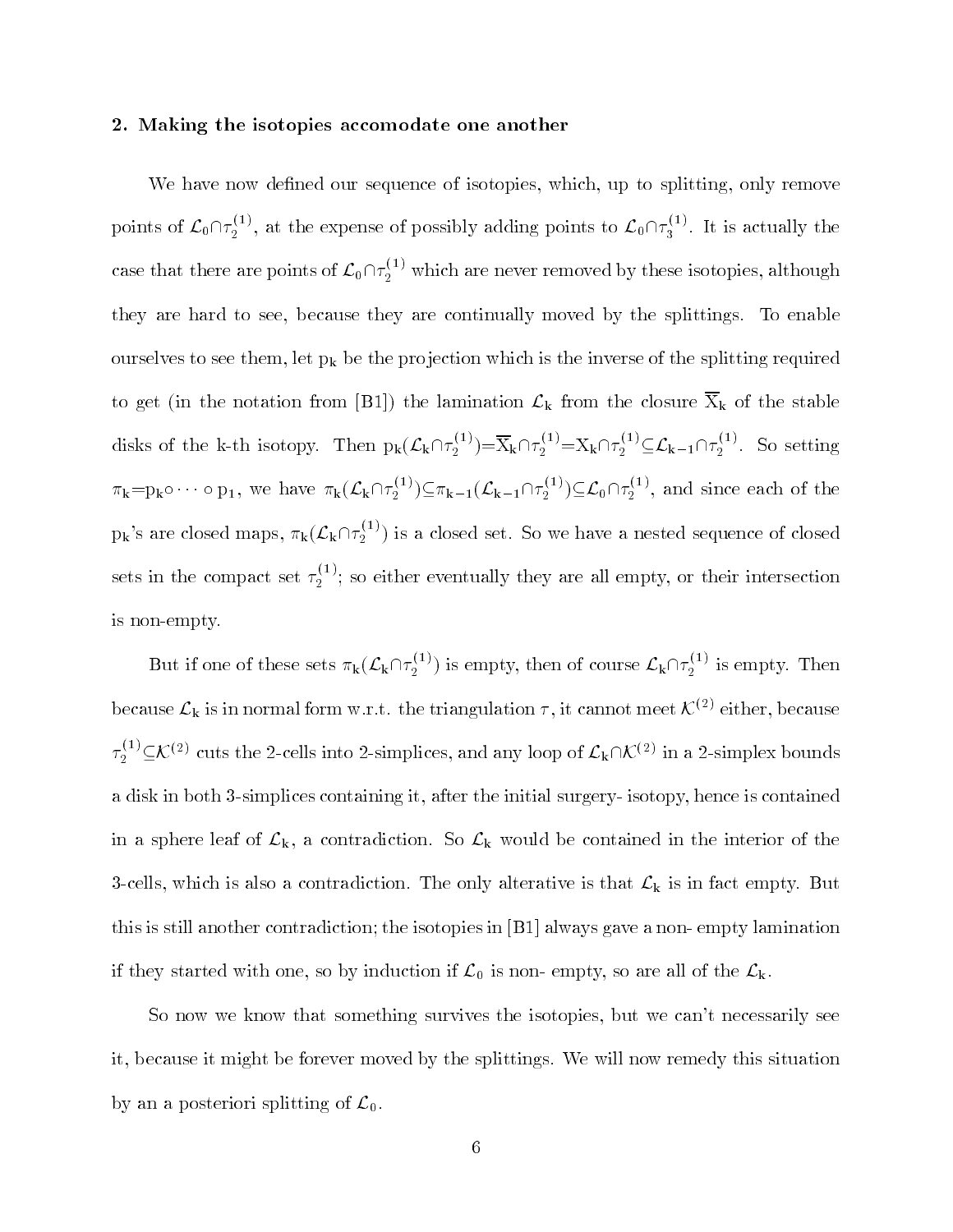## 2. Making the isotopies accomodate one another

We have now defined our sequence of isotopies, which, up to splitting, only remove points of  $\mathcal{L}_0\cap\tau_2^{(1)}$ , at the expense of possibly adding points to  $\mathcal{L}_0\cap\tau_3^{(1)}$ . It is actually the case that there are points of  $\mathcal{L}_0 \cap \tau_2^{(1)}$  which are never removed by these isotopies, although they are hard to see, because they are continually moved by the splittings. To enable ourselves to see them, let  $p_k$  be the projection which is the inverse of the splitting required to get (in the notation from [B1]) the lamination  $\mathcal{L}_k$  from the closure  $\overline{X}_k$  of the stable disks of the k-th isotopy. Then  $p_k(\mathcal{L}_k \cap \tau_2^{\alpha}) = X_k \cap \tau_2^{\alpha} = X_k \cap \tau_2^{\alpha} \subseteq \mathcal{L}_{k-1} \cap \tau_2^{\alpha}$ . So setting  $\pi_k = p_k \circ \cdots \circ p_1$ , we have  $\pi_k(\mathcal{L}_k \cap \tau_2^{(1)}) \subseteq \pi_{k-1}(\mathcal{L}_{k-1} \cap \tau_2^{(1)}) \subseteq \mathcal{L}_0 \cap \tau_2^{(1)}$ , and since each of the  $p_k$ 's are closed maps,  $\pi_k(\mathcal{L}_k \cap \tau_2^{(1)})$  is a closed set. So we have a nested sequence of closed sets in the compact set  $\tau_2^{\text{--}{\prime}}$ ; so either eventually they are all empty, or their intersection is non-empty.

But if one of these sets  $\pi_k(\mathcal{L}_k \cap \tau_2^{(1)})$  is empty, then of course  $\mathcal{L}_k \cap \tau_2^{(1)}$  is empty. Then because  $\mathcal{L}_k$  is in normal form w.r.t. the triangulation  $\tau$ , it cannot meet  $\mathcal{K}^{(2)}$  either, because  $\tau_2^{(1)} \subseteq \mathcal{K}^{(2)}$  cuts the 2-cells into 2-simplices, and any loop of  $\mathcal{L}_k \cap \mathcal{K}^{(2)}$  in a 2-simplex bounds a disk in both 3-simplices containing it, after the initial surgery- isotopy, hence is contained in a sphere leaf of  $\mathcal{L}_k$ , a contradiction. So  $\mathcal{L}_k$  would be contained in the interior of the 3-cells, which is also a contradiction. The only alterative is that  $\mathcal{L}_{k}$  is in fact empty. But this is still another contradiction; the isotopies in [B1] always gave a non- empty lamination if they started with one, so by induction if  $\mathcal{L}_0$  is non- empty, so are all of the  $\mathcal{L}_k$ .

So now we know that something survives the isotopies, but we can't necessarily see it, because it might be forever moved by the splittings. We will now remedy this situation by an a posteriori splitting of  $\mathcal{L}_0$ .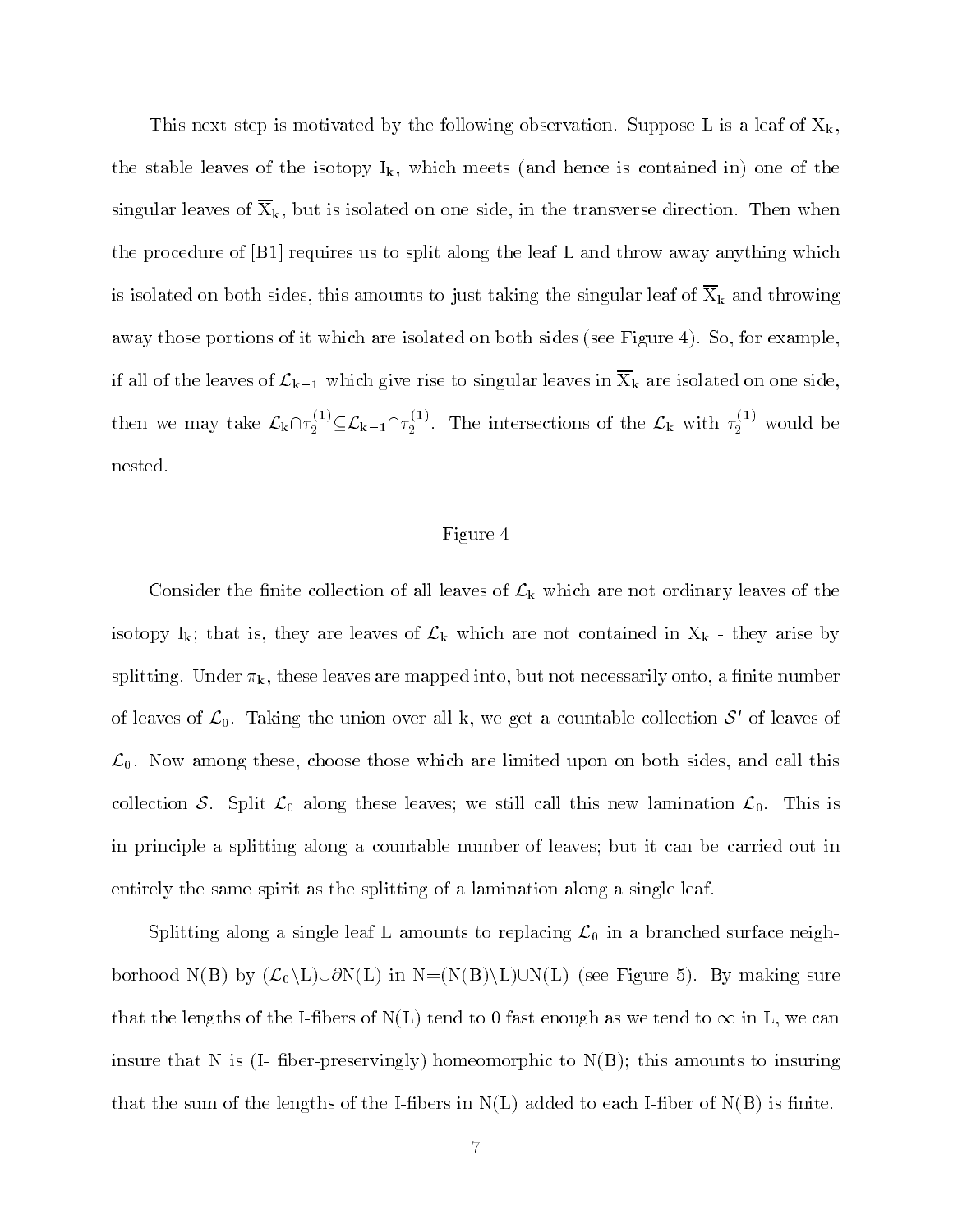This next step is motivated by the following observation. Suppose L is a leaf of  $X_k$ , the stable leaves of the isotopy  $I_k$ , which meets (and hence is contained in) one of the singular leaves of  $\overline{X}_k$ , but is isolated on one side, in the transverse direction. Then when the procedure of  $[BI]$  requires us to split along the leaf L and throw away anything which is isolated on both sides, this amounts to just taking the singular leaf of  $\overline{X}_k$  and throwing away those portions of it which are isolated on both sides (see Figure 4). So, for example, if all of the leaves of  $\mathcal{L}_{k-1}$  which give rise to singular leaves in  $\overline{X}_k$  are isolated on one side, then we may take  $\mathcal{L}_k \cap \tau_2^{(1)} \subseteq \mathcal{L}_{k-1} \cap \tau_2^{(1)}$ . The intersections of the  $\mathcal{L}_k$  with  $\tau_2^{(1)}$  would be nested.

## Figure 4

Consider the finite collection of all leaves of  $\mathcal{L}_{k}$  which are not ordinary leaves of the isotopy  $I_k$ ; that is, they are leaves of  $\mathcal{L}_k$  which are not contained in  $X_k$  - they arise by splitting. Under  $\pi_k$ , these leaves are mapped into, but not necessarily onto, a finite number of leaves of  $\mathcal{L}_0$ . Taking the union over all k, we get a countable collection  $\mathcal{S}'$  of leaves of  $\mathcal{L}_0$ . Now among these, choose those which are limited upon on both sides, and call this collection S. Split  $\mathcal{L}_0$  along these leaves; we still call this new lamination  $\mathcal{L}_0$ . This is in principle a splitting along a countable number of leaves; but it can be carried out in entirely the same spirit as the splitting of a lamination along a single leaf.

Splitting along a single leaf L amounts to replacing  $\mathcal{L}_0$  in a branched surface neighborhood N(B) by  $(\mathcal{L}_0\backslash L)\cup\partial N(L)$  in  $N=(N(B)\backslash L)\cup N(L)$  (see Figure 5). By making sure that the lengths of the I-fibers of  $N(L)$  tend to 0 fast enough as we tend to  $\infty$  in L, we can insure that N is  $(I - f)$  fiber-preservingly homeomorphic to  $N(B)$ ; this amounts to insuring that the sum of the lengths of the I-fibers in  $N(L)$  added to each I-fiber of  $N(B)$  is finite.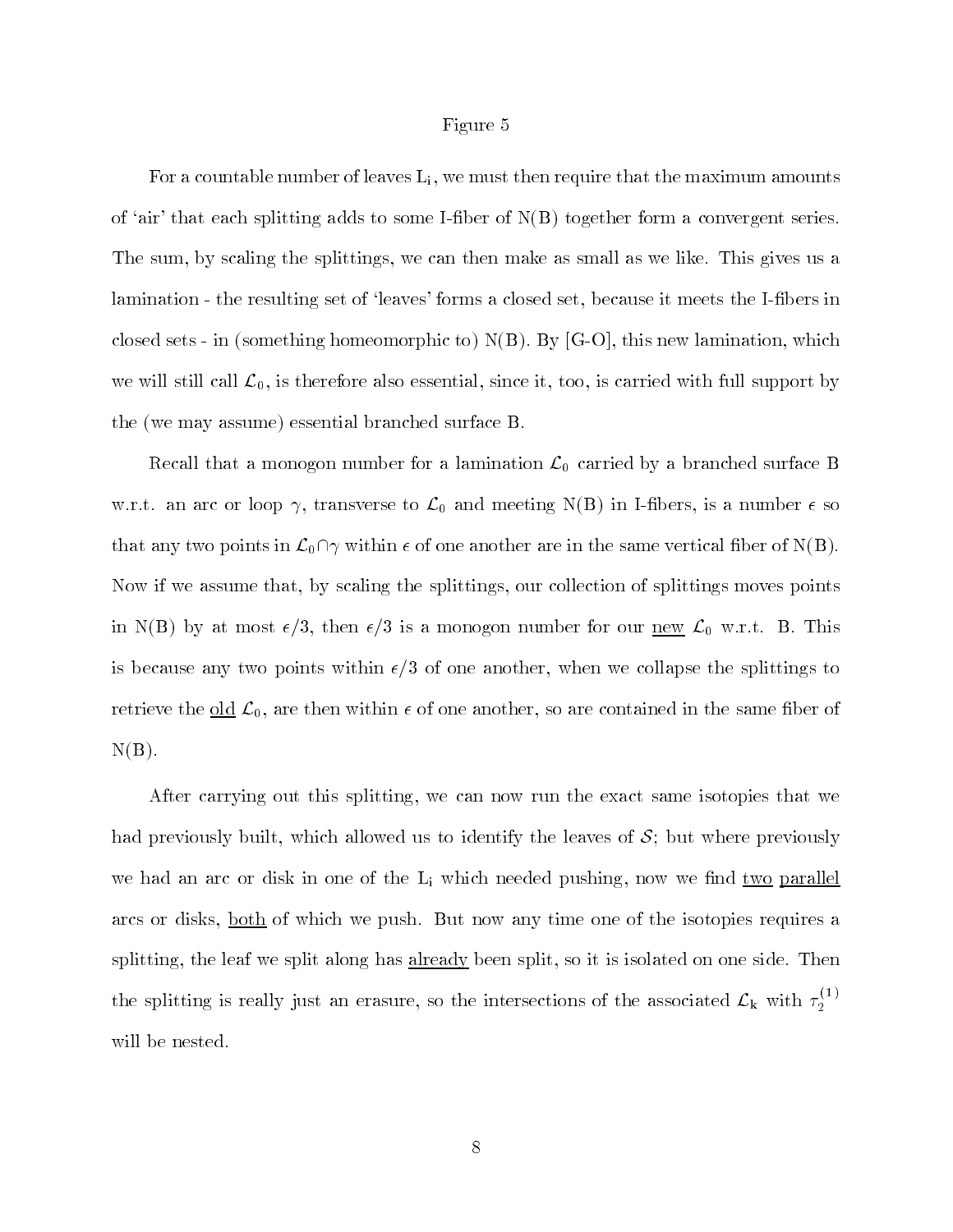#### Figure 5

For a countable number of leaves  $L_i$ , we must then require that the maximum amounts of 'air' that each splitting adds to some I-fiber of  $N(B)$  together form a convergent series. The sum, by scaling the splittings, we can then make as small as we like. This gives us a lamination - the resulting set of 'leaves' forms a closed set, because it meets the I-fibers in closed sets - in (something homeomorphic to)  $N(B)$ . By [G-O], this new lamination, which we will still call  $\mathcal{L}_0$ , is therefore also essential, since it, too, is carried with full support by the (we may assume) essential branched surface B.

Recall that a monogon number for a lamination  $\mathcal{L}_0$  carried by a branched surface B w.r.t. an arc or loop  $\gamma$ , transverse to  $\mathcal{L}_0$  and meeting N(B) in I-fibers, is a number  $\epsilon$  so that any two points in  $\mathcal{L}_0 \cap \gamma$  within  $\epsilon$  of one another are in the same vertical fiber of N(B). Now if we assume that, by scaling the splittings, our collection of splittings moves points in N(B) by at most  $\epsilon/3$ , then  $\epsilon/3$  is a monogon number for our <u>new</u>  $\mathcal{L}_0$  w.r.t. B. This is because any two points within  $\epsilon/3$  of one another, when we collapse the splittings to retrieve the old  $\mathcal{L}_0$ , are then within  $\epsilon$  of one another, so are contained in the same fiber of  $N(B)$ .

After carrying out this splitting, we can now run the exact same isotopies that we had previously built, which allowed us to identify the leaves of  $S$ ; but where previously we had an arc or disk in one of the  $L_i$  which needed pushing, now we find two parallel arcs or disks, <u>both</u> of which we push. But now any time one of the isotopies requires a splitting, the leaf we split along has already been split, so it is isolated on one side. Then the splitting is really just an erasure, so the intersections of the associated  $\mathcal{L}_k$  with  $\tau_i^{(1)}$ will be nested.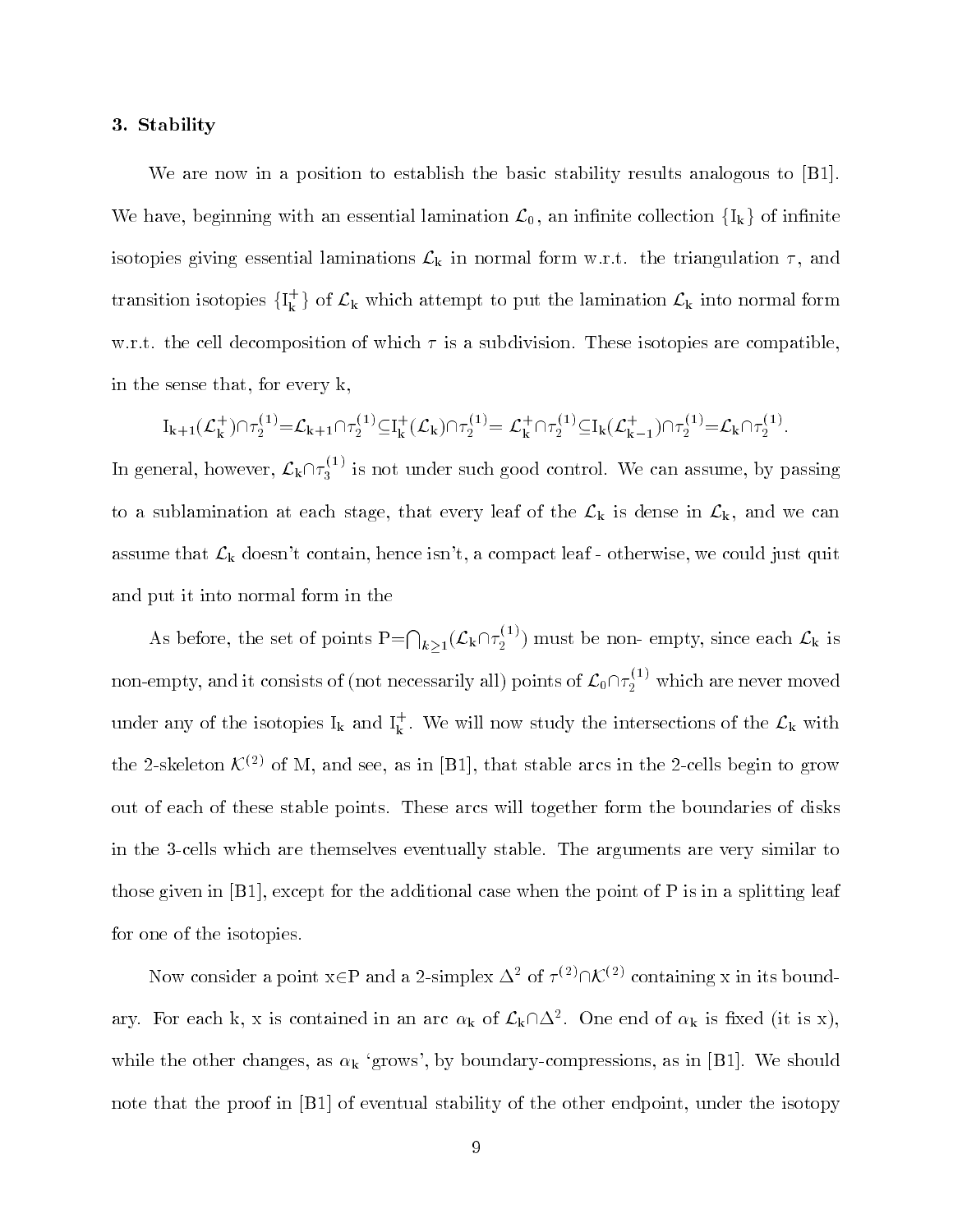## 3. Stability

We are now in a position to establish the basic stability results analogous to [B1]. We have, beginning with an essential lamination  $\mathcal{L}_0$ , an infinite collection  $\{I_k\}$  of infinite isotopies giving essential laminations  $\mathcal{L}_{k}$  in normal form w.r.t. the triangulation  $\tau$ , and transition isotopies  $\{I_k^+\}$  of  $\mathcal{L}_k$  which attempt to put the lamination  $\mathcal{L}_k$  into normal form w.r.t. the cell decomposition of which  $\tau$  is a subdivision. These isotopies are compatible, in the sense that, for every k,

$$
I_{k+1}(\mathcal{L}_{k}^{+})\cap\tau_{2}^{(1)}\!=\!\mathcal{L}_{k+1}\cap\tau_{2}^{(1)}\!\subseteq\!\!I_{k}^{+}(\mathcal{L}_{k})\cap\tau_{2}^{(1)}\!=\mathcal{L}_{k}^{+}\cap\tau_{2}^{(1)}\!\subseteq\!\!I_{k}(\mathcal{L}_{k-1}^{+})\cap\tau_{2}^{(1)}\!=\!\mathcal{L}_{k}\cap\tau_{2}^{(1)}.
$$

In general, however,  $\mathcal{L}_{k} \cap \tau_{3}^{(1)}$  is not under such good control. We can assume, by passing to a sublamination at each stage, that every leaf of the  $\mathcal{L}_k$  is dense in  $\mathcal{L}_k$ , and we can assume that  $\mathcal{L}_{k}$  doesn't contain, hence isn't, a compact leaf - otherwise, we could just quit and put it into normal form in the

As before, the set of points  $P=\bigcap_{k>1}(\mathcal{L}_k\cap\tau_2^{(1)})$  must be non- empty, since each  $\mathcal{L}_k$  is non-empty, and it consists of (not necessarily all) points of  $\mathcal{L}_0\cap \tau_2^{\backslash \perp}$  which are never moved under any of the isotopies  $I_k$  and  $I_k^+$ . We will now study the intersections of the  $\mathcal{L}_k$  with the 2-skeleton  $\mathcal{K}^{(2)}$  of M, and see, as in [B1], that stable arcs in the 2-cells begin to grow out of each of these stable points. These arcs will together form the boundaries of disks in the 3-cells which are themselves eventually stable. The arguments are very similar to those given in  $[B1]$ , except for the additional case when the point of P is in a splitting leaf for one of the isotopies.

Now consider a point  $x \in P$  and a 2-simplex  $\Delta^2$  of  $\tau^{(2)} \cap \mathcal{K}^{(2)}$  containing x in its boundary. For each k, x is contained in an arc  $\alpha_k$  of  $\mathcal{L}_k\cap\Delta^2$ . One end of  $\alpha_k$  is fixed (it is x), while the other changes, as  $\alpha_k$  'grows', by boundary-compressions, as in [B1]. We should note that the proof in [B1] of eventual stability of the other endpoint, under the isotopy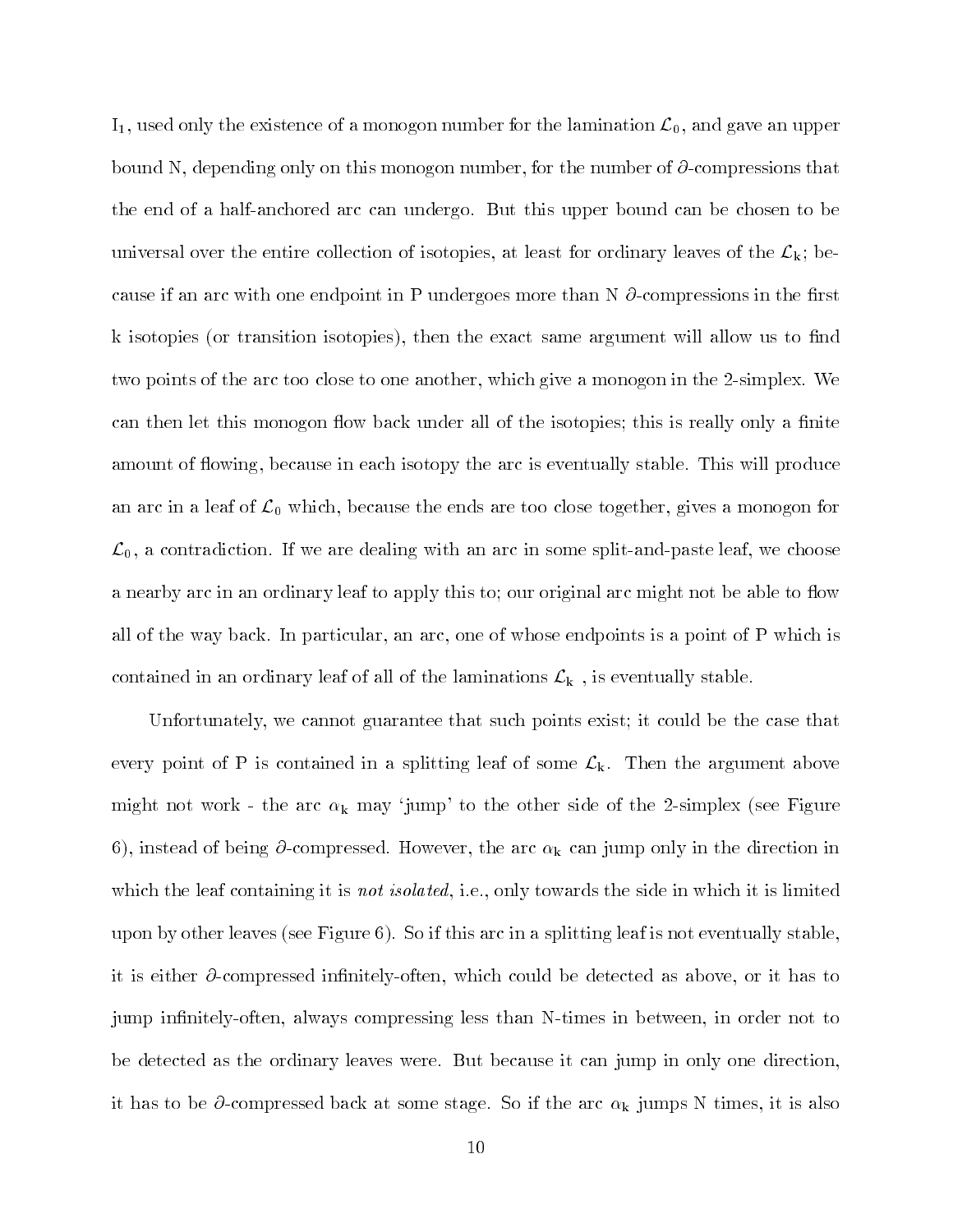$I_1$ , used only the existence of a monogon number for the lamination  $\mathcal{L}_0$ , and gave an upper bound N, depending only on this monogon number, for the number of  $\partial$ -compressions that the end of a half-anchored arc can undergo. But this upper bound can be chosen to be universal over the entire collection of isotopies, at least for ordinary leaves of the  $\mathcal{L}_{k}$ ; because if an arc with one endpoint in P undergoes more than N  $\partial$ -compressions in the first k isotopies (or transition isotopies), then the exact same argument will allow us to find two points of the arc too close to one another, which give a monogon in the 2-simplex. We can then let this monogon flow back under all of the isotopies; this is really only a finite amount of flowing, because in each isotopy the arc is eventually stable. This will produce an arc in a leaf of  $\mathcal{L}_0$  which, because the ends are too close together, gives a monogon for  $\mathcal{L}_0$ , a contradiction. If we are dealing with an arc in some split-and-paste leaf, we choose a nearby arc in an ordinary leaf to apply this to; our original arc might not be able to flow all of the way back. In particular, an arc, one of whose endpoints is a point of P which is contained in an ordinary leaf of all of the laminations  $\mathcal{L}_{k}$ , is eventually stable.

Unfortunately, we cannot guarantee that such points exist; it could be the case that every point of P is contained in a splitting leaf of some  $\mathcal{L}_{k}$ . Then the argument above might not work - the arc  $\alpha_k$  may 'jump' to the other side of the 2-simplex (see Figure 6), instead of being  $\partial$ -compressed. However, the arc  $\alpha_k$  can jump only in the direction in which the leaf containing it is *not isolated*, i.e., only towards the side in which it is limited upon by other leaves (see Figure 6). So if this arc in a splitting leaf is not eventually stable, it is either  $\partial$ -compressed infinitely-often, which could be detected as above, or it has to jump infinitely-often, always compressing less than N-times in between, in order not to be detected as the ordinary leaves were. But because it can jump in only one direction, it has to be  $\partial$ -compressed back at some stage. So if the arc  $\alpha_k$  jumps N times, it is also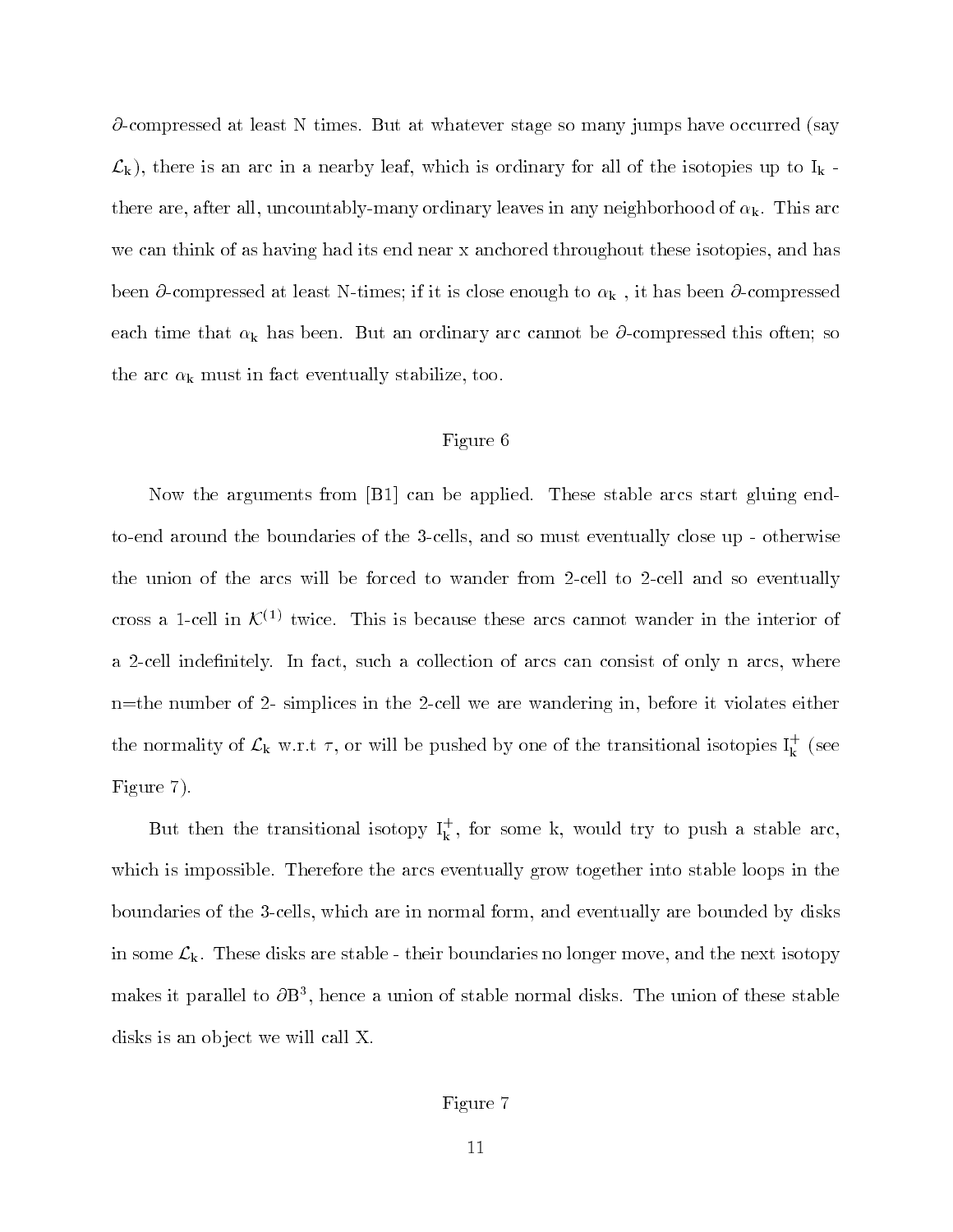$\partial$ -compressed at least N times. But at whatever stage so many jumps have occurred (say  $\mathcal{L}_k$ ), there is an arc in a nearby leaf, which is ordinary for all of the isotopies up to  $I_k$ . there are, after all, uncountably-many ordinary leaves in any neighborhood of  $\alpha_k$ . This arc we can think of as having had its end near x anchored throughout these isotopies, and has been  $\partial$ -compressed at least N-times; if it is close enough to  $\alpha_k$ , it has been  $\partial$ -compressed each time that  $\alpha_k$  has been. But an ordinary arc cannot be  $\partial$ -compressed this often; so the arc  $\alpha_k$  must in fact eventually stabilize, too.

# Figure 6

Now the arguments from [B1] can be applied. These stable arcs start gluing endto-end around the boundaries of the 3-cells, and so must eventually close up - otherwise the union of the arcs will be forced to wander from 2-cell to 2-cell and so eventually cross a 1-cell in  $\mathcal{K}^{(1)}$  twice. This is because these arcs cannot wander in the interior of a 2-cell indefinitely. In fact, such a collection of arcs can consist of only n arcs, where n=the number of 2- simplices in the 2-cell we are wandering in, before it violates either the normality of  $\mathcal{L}_k$  w.r.t  $\tau$ , or will be pushed by one of the transitional isotopies  $I_k^+$  (see Figure 7).

But then the transitional isotopy  $1_{\rm k}^{\rm t}$  , for some k, would try to push a stable arc, which is impossible. Therefore the arcs eventually grow together into stable loops in the boundaries of the 3-cells, which are in normal form, and eventually are bounded by disks in some  $\mathcal{L}_{k}$ . These disks are stable - their boundaries no longer move, and the next isotopy makes it parallel to  $\sigma$ B3, hence a union of stable normal disks. The union of these stable disks is an object we will call X.

# Figure 7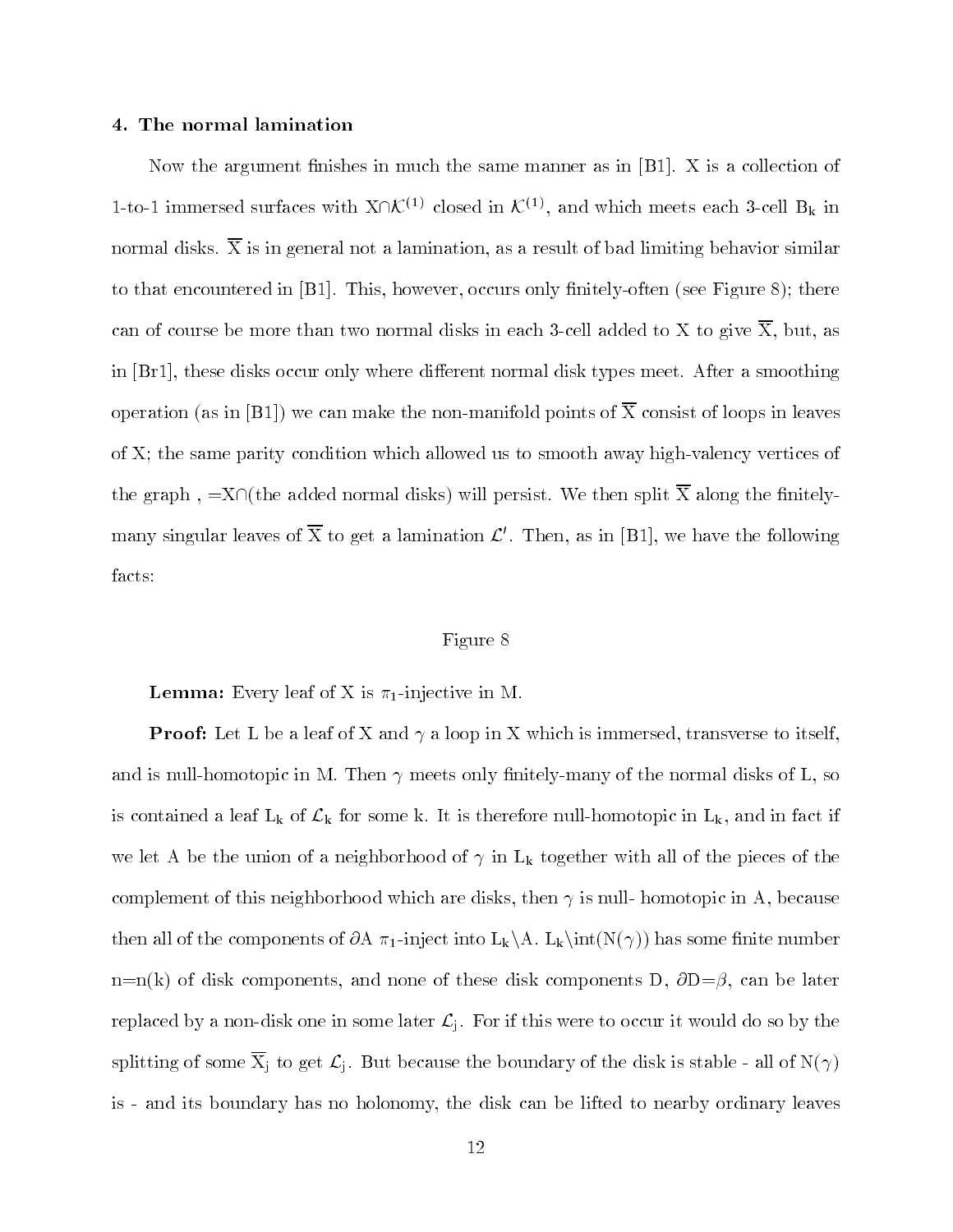## 4. The normal lamination

Now the argument finishes in much the same manner as in  $[B1]$ . X is a collection of 1-to-1 immersed surfaces with  $X\cap K^{(1)}$  closed in  $K^{(1)}$ , and which meets each 3-cell B<sub>k</sub> in normal disks.  $\overline{X}$  is in general not a lamination, as a result of bad limiting behavior similar to that encountered in  $[B1]$ . This, however, occurs only finitely-often (see Figure 8); there can of course be more than two normal disks in each 3-cell added to X to give  $\overline{X}$ , but, as in  $[Br1]$ , these disks occur only where different normal disk types meet. After a smoothing operation (as in [B1]) we can make the non-manifold points of  $\overline{X}$  consist of loops in leaves of X; the same parity condition which allowed us to smooth away high-valency vertices of the graph,  $=X\cap$  (the added normal disks) will persist. We then split  $\overline{X}$  along the finitelymany singular leaves of  $\overline{X}$  to get a lamination  $\mathcal{L}'$ . Then, as in [B1], we have the following facts:

# Figure 8

 $\blacksquare$  contracts  $\blacksquare$  . Only leads of  $\blacksquare$  is  $n_1$  in  $\blacksquare$  is  $\blacksquare$  in M.

**Provided to a loop in X which is in the distribution of the interest of the second in X which is in X which is** and is null-homotopic in M. Then  $\gamma$  meets only finitely-many of the normal disks of L, so is contained a leaf  $L_k$  of  $\mathcal{L}_k$  for some k. It is therefore null-homotopic in  $L_k$ , and in fact if we let A be the union of a neighborhood of  $\gamma$  in L<sub>k</sub> together with all of the pieces of the complement of this neighborhood which are disks, then  $\gamma$  is null-homotopic in A, because then all of the components of  $\partial A \pi_1$ -inject into  $L_k \backslash A$ .  $L_k \in N(\gamma)$  has some finite number  $n=n(k)$  of disk components, and none of these disk components D,  $\partial D = \beta$ , can be later replaced by a non-disk one in some later  $\mathcal{L}_i$ . For if this were to occur it would do so by the splitting of some  $\overline{X}_j$  to get  $\mathcal{L}_j$ . But because the boundary of the disk is stable - all of  $N(\gamma)$ is - and its boundary has no holonomy, the disk can be lifted to nearby ordinary leaves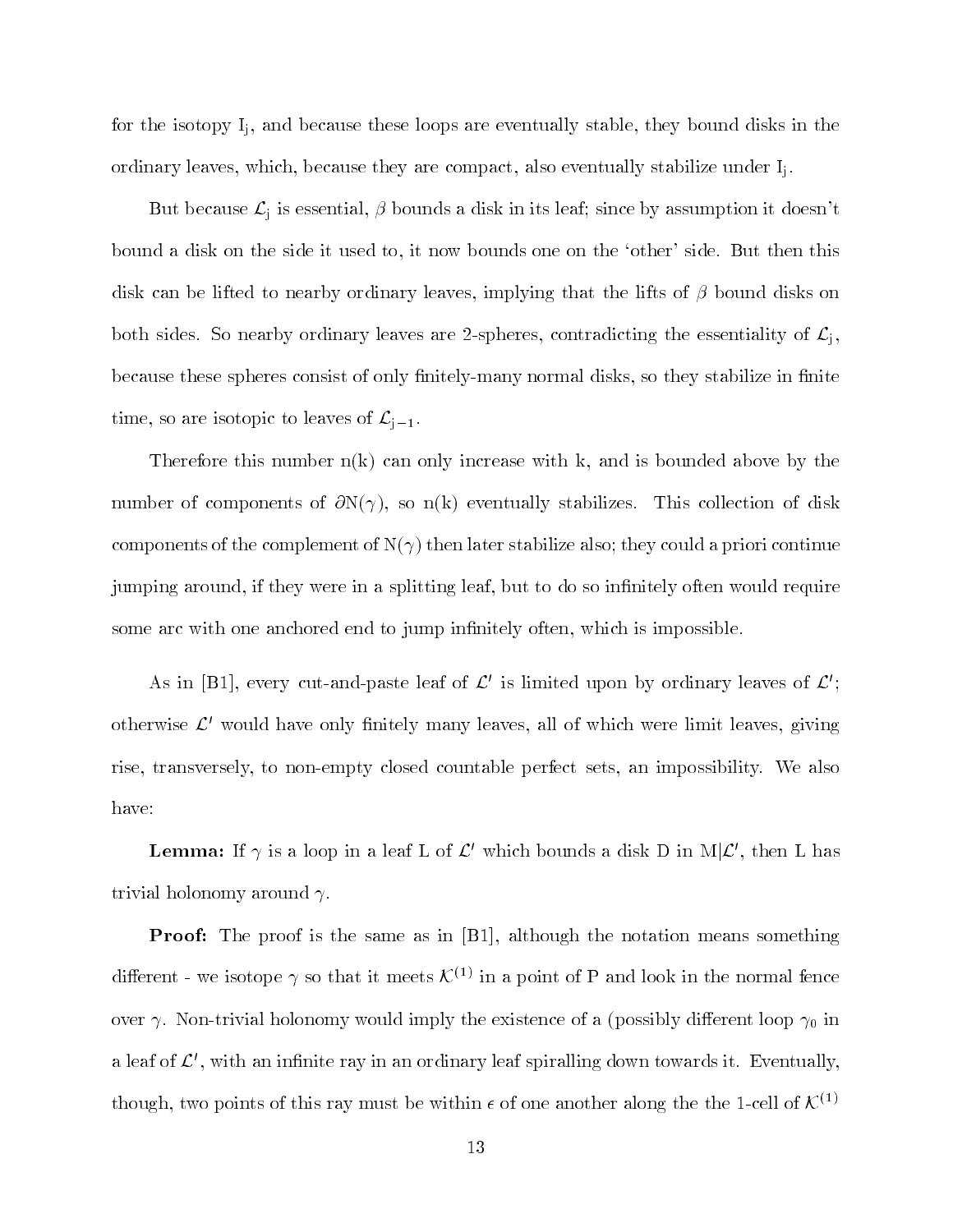for the isotopy  $I_i$ , and because these loops are eventually stable, they bound disks in the ordinary leaves, which, because they are compact, also eventually stabilize under  $I_i$ .

But because  $\mathcal{L}_j$  is essential,  $\beta$  bounds a disk in its leaf; since by assumption it doesn't bound a disk on the side it used to, it now bounds one on the `other' side. But then this disk can be lifted to nearby ordinary leaves, implying that the lifts of  $\beta$  bound disks on both sides. So nearby ordinary leaves are 2-spheres, contradicting the essentiality of  $\mathcal{L}_j$ , because these spheres consist of only finitely-many normal disks, so they stabilize in finite time, so are isotopic to leaves of  $\mathcal{L}_{j-1}$ .

Therefore this number  $n(k)$  can only increase with k, and is bounded above by the number of components of  $\partial N(\gamma)$ , so n(k) eventually stabilizes. This collection of disk components of the complement of  $N(\gamma)$  then later stabilize also; they could a priori continue jumping around, if they were in a splitting leaf, but to do so infinitely often would require some arc with one anchored end to jump infinitely often, which is impossible.

As in [B1], every cut-and-paste leaf of  $\mathcal{L}'$  is limited upon by ordinary leaves of  $\mathcal{L}'$ ; otherwise  $\mathcal{L}'$  would have only finitely many leaves, all of which were limit leaves, giving rise, transversely, to non-empty closed countable perfect sets, an impossibility. We also have:

**Lemma:** If  $\gamma$  is a loop in a leaf L of  $\mathcal{L}'$  which bounds a disk D in M $|\mathcal{L}'$ , then L has trivial holonomy around  $\gamma$ .

Proof: The proof is the same as in [B1], although the notation means something different - we isotope  $\gamma$  so that it meets  $\mathcal{K}^{(1)}$  in a point of P and look in the normal fence over  $\gamma$ . Non-trivial holonomy would imply the existence of a (possibly different loop  $\gamma_0$  in a leaf of  $\mathcal{L}'$ , with an infinite ray in an ordinary leaf spiralling down towards it. Eventually, though, two points of this ray must be within  $\epsilon$  of one another along the the 1-cell of  $\mathcal{K}^{(1)}$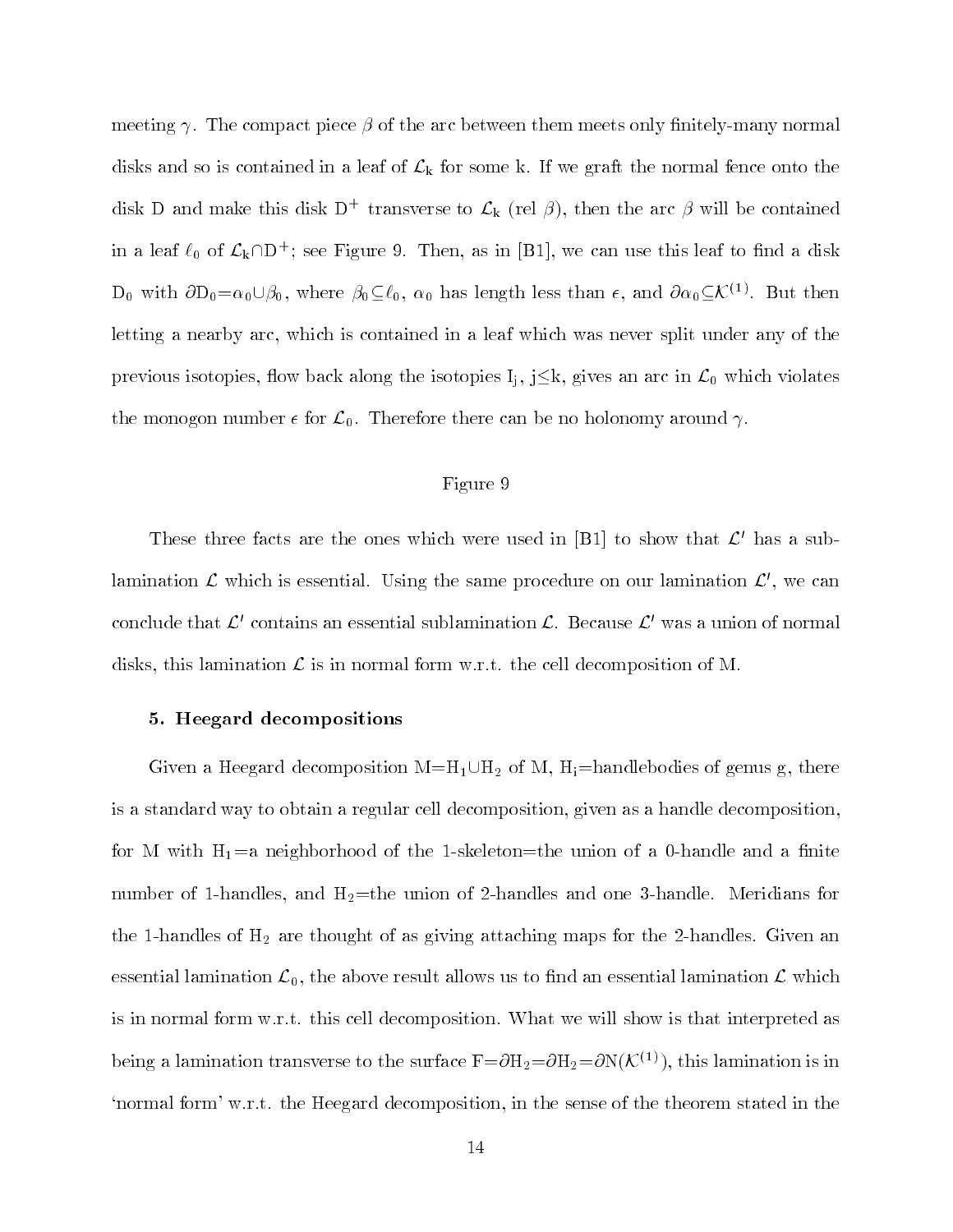meeting  $\gamma$ . The compact piece  $\beta$  of the arc between them meets only finitely-many normal disks and so is contained in a leaf of  $\mathcal{L}_{k}$  for some k. If we graft the normal fence onto the disk D and make this disk  $D^+$  transverse to  $\mathcal{L}_k$  (rel  $\beta$ ), then the arc  $\beta$  will be contained in a leaf  $\ell_0$  of  $\mathcal{L}_k \cap D^+$ ; see Figure 9. Then, as in [B1], we can use this leaf to find a disk  $D_0$  with  $\partial D_0 = \alpha_0 \cup \beta_0$ , where  $\beta_0 \subseteq \ell_0$ ,  $\alpha_0$  has length less than  $\epsilon$ , and  $\partial \alpha_0 \subseteq \mathcal{K}^{(1)}$ . But then letting a nearby arc, which is contained in a leaf which was never split under any of the previous isotopies, flow back along the isotopies  $I_j$ ,  $j \leq k$ , gives an arc in  $\mathcal{L}_0$  which violates the monogon number  $\epsilon$  for  $\mathcal{L}_0$ . Therefore there can be no holonomy around  $\gamma$ .

## Figure 9

These three facts are the ones which were used in [B1] to show that  $\mathcal{L}'$  has a sublamination  $\mathcal L$  which is essential. Using the same procedure on our lamination  $\mathcal L'$ , we can conclude that  $\mathcal{L}'$  contains an essential sublamination  $\mathcal{L}$ . Because  $\mathcal{L}'$  was a union of normal disks, this lamination  $\mathcal L$  is in normal form w.r.t. the cell decomposition of M.

## 5. Heegard decompositions

Given a Heegard decomposition  $M=H_1\cup H_2$  of M,  $H_i=$ handlebodies of genus g, there is a standard way to obtain a regular cell decomposition, given as a handle decomposition, for M with  $H_1$ =a neighborhood of the 1-skeleton=the union of a 0-handle and a finite number of 1-handles, and  $H_2$ =the union of 2-handles and one 3-handle. Meridians for the 1-handles of  $H_2$  are thought of as giving attaching maps for the 2-handles. Given an essential lamination  $\mathcal{L}_0$ , the above result allows us to find an essential lamination  $\mathcal L$  which is in normal form w.r.t. this cell decomposition. What we will show is that interpreted as being a lamination transverse to the surface  $F = \partial H_2 = \partial H_2 = \partial N(K^{(1)})$ , this lamination is in `normal form' w.r.t. the Heegard decomposition, in the sense of the theorem stated in the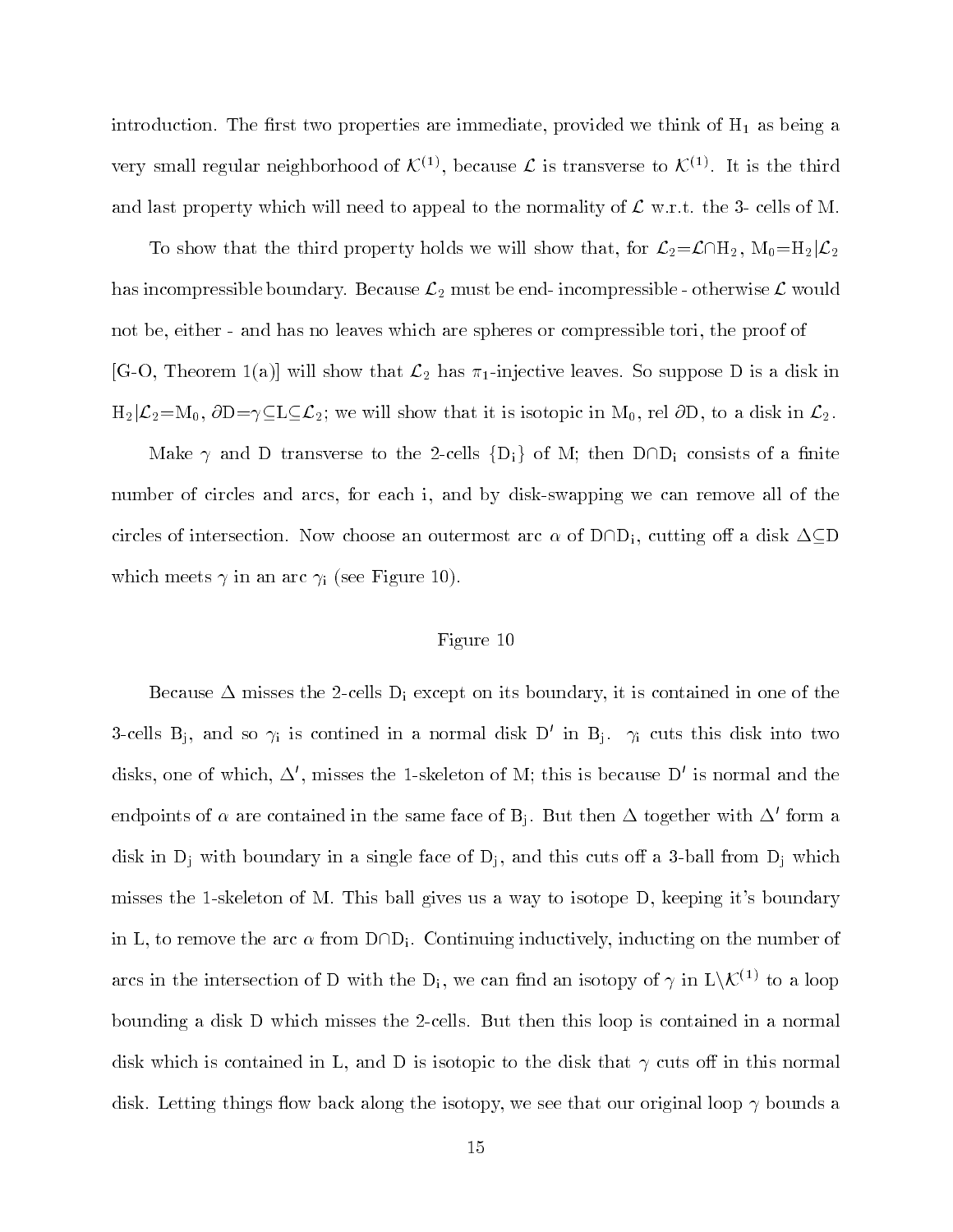introduction. The first two properties are immediate, provided we think of  $H_1$  as being a very small regular neighborhood of  $\mathcal{K}^{(1)}$ , because  $\mathcal L$  is transverse to  $\mathcal{K}^{(1)}$ . It is the third and last property which will need to appeal to the normality of  $\mathcal L$  w.r.t. the 3- cells of M.

To show that the third property holds we will show that, for  $\mathcal{L}_2=\mathcal{L}\cap H_2$ ,  $M_0=H_2|\mathcal{L}_2$ has incompressible boundary. Because  $\mathcal{L}_2$  must be end-incompressible - otherwise  $\mathcal{L}$  would not be, either - and has no leaves which are spheres or compressible tori, the proof of  $[G-O, Theorem 1(a)]$  will show that  $\mathcal{L}_2$  has  $\pi_1$ -injective leaves. So suppose D is a disk in  $H_2|\mathcal{L}_2=M_0$ ,  $\partial D=\gamma\subseteq L\subseteq\mathcal{L}_2$ ; we will show that it is isotopic in  $M_0$ , rel  $\partial D$ , to a disk in  $\mathcal{L}_2$ .

Make  $\gamma$  and D transverse to the 2-cells  $\{D_i\}$  of M; then  $D \cap D_i$  consists of a finite number of circles and arcs, for each i, and by disk-swapping we can remove all of the circles of intersection. Now choose an outermost arc  $\alpha$  of D $\cap D_i$ , cutting off a disk  $\Delta \subseteq D$ which meets  $\gamma$  in an arc  $\gamma_i$  (see Figure 10).

# Figure 10

Because  $\Delta$  misses the 2-cells  $D_i$  except on its boundary, it is contained in one of the 3-cells B<sub>j</sub>, and so  $\gamma_i$  is contined in a normal disk D' in B<sub>j</sub>.  $\gamma_i$  cuts this disk into two disks, one of which,  $\Delta'$ , misses the 1-skeleton of M; this is because D' is normal and the endpoints of  $\alpha$  are contained in the same face of B<sub>i</sub>. But then  $\Delta$  together with  $\Delta'$  form a disk in  $D_j$  with boundary in a single face of  $D_j$ , and this cuts off a 3-ball from  $D_i$  which misses the 1-skeleton of M. This ball gives us a way to isotope D, keeping it's boundary in L, to remove the arc  $\alpha$  from  $D \cap D_i$ . Continuing inductively, inducting on the number of arcs in the intersection of D with the  $D_i$ , we can find an isotopy of  $\gamma$  in  $L\setminus\mathcal{K}^{(1)}$  to a loop bounding a disk D which misses the 2-cells. But then this loop is contained in a normal disk which is contained in L, and D is isotopic to the disk that  $\gamma$  cuts off in this normal disk. Letting things flow back along the isotopy, we see that our original loop  $\gamma$  bounds a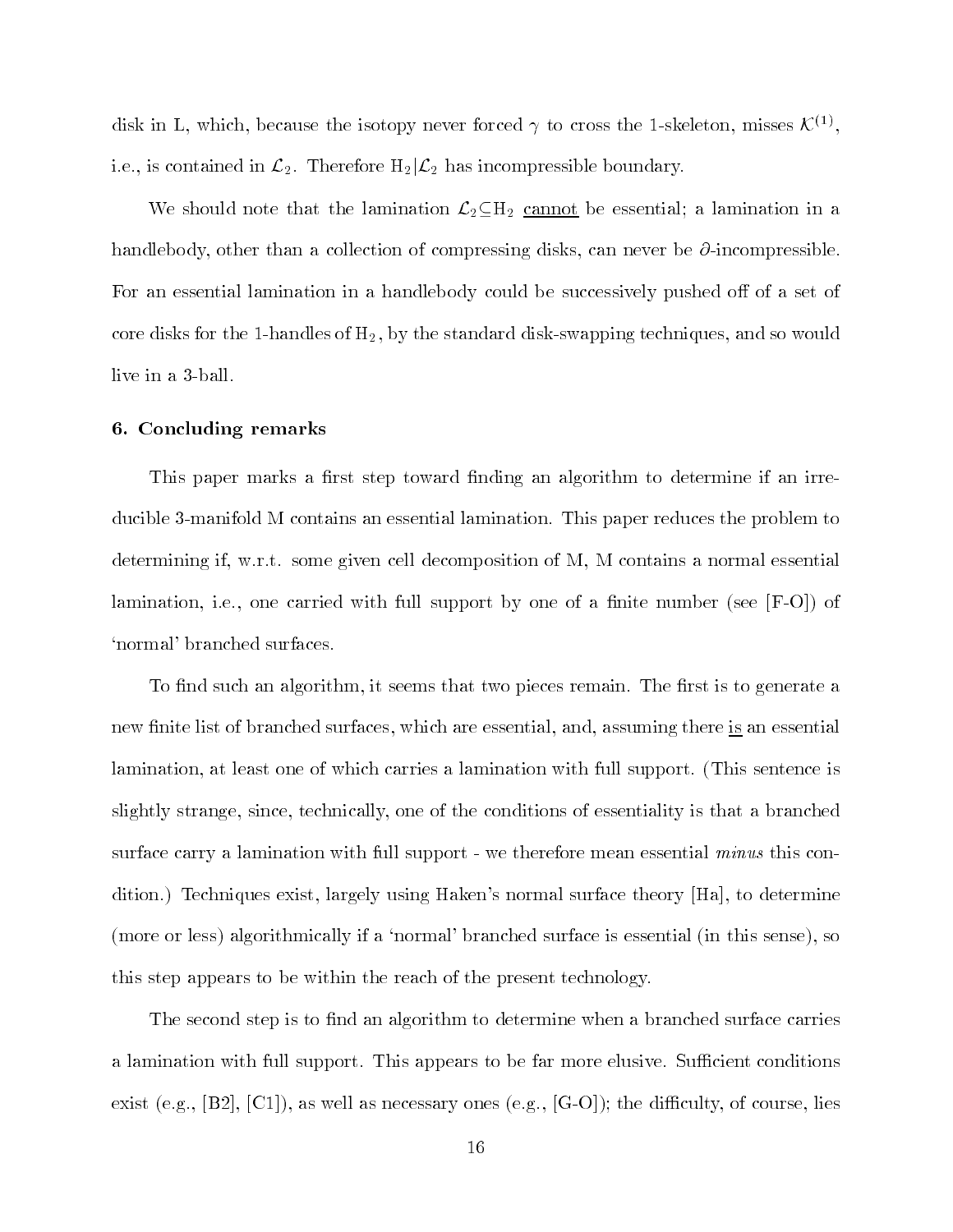disk in L, which, because the isotopy never forced  $\gamma$  to cross the 1-skeleton, misses  $\mathcal{K}^{(1)}$ . i.e., is contained in  $\mathcal{L}_2$ . Therefore  $H_2|\mathcal{L}_2$  has incompressible boundary.

We should note that the lamination  $\mathcal{L}_2 \subseteq H_2$  cannot be essential; a lamination in a handlebody, other than a collection of compressing disks, can never be  $\partial$ -incompressible. For an essential lamination in a handlebody could be successively pushed off of a set of core disks for the 1-handles of  $H_2$ , by the standard disk-swapping techniques, and so would live in a 3-ball.

## 6. Concluding remarks

This paper marks a first step toward finding an algorithm to determine if an irreducible 3-manifold M contains an essential lamination. This paper reduces the problem to determining if, w.r.t. some given cell decomposition of M, M contains a normal essential lamination, i.e., one carried with full support by one of a finite number (see  $|F-O|$ ) of `normal' branched surfaces.

To find such an algorithm, it seems that two pieces remain. The first is to generate a new finite list of branched surfaces, which are essential, and, assuming there is an essential lamination, at least one of which carries a lamination with full support. (This sentence is slightly strange, since, technically, one of the conditions of essentiality is that a branched surface carry a lamination with full support - we therefore mean essential *minus* this condition.) Techniques exist, largely using Haken's normal surface theory [Ha], to determine (more or less) algorithmically if a `normal' branched surface is essential (in this sense), so this step appears to be within the reach of the present technology.

The second step is to find an algorithm to determine when a branched surface carries a lamination with full support. This appears to be far more elusive. Sufficient conditions exist (e.g.,  $[B2], [C1]$ ), as well as necessary ones (e.g.,  $[G-O]$ ); the difficulty, of course, lies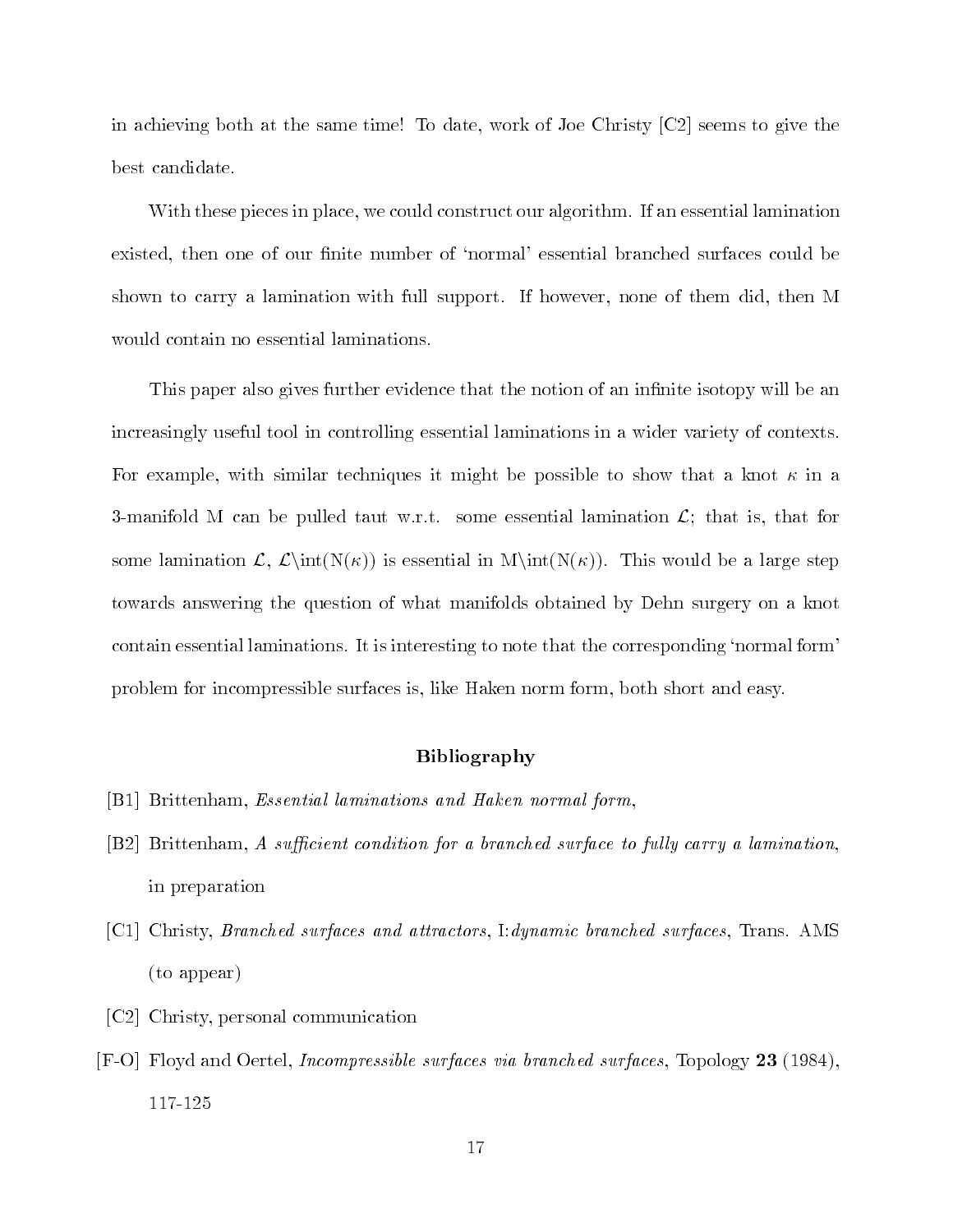in achieving both at the same time! To date, work of Joe Christy [C2] seems to give the best candidate.

With these pieces in place, we could construct our algorithm. If an essential lamination existed, then one of our finite number of 'normal' essential branched surfaces could be shown to carry a lamination with full support. If however, none of them did, then M would contain no essential laminations.

This paper also gives further evidence that the notion of an infinite isotopy will be an increasingly useful tool in controlling essential laminations in a wider variety of contexts. For example, with similar techniques it might be possible to show that a knot  $\kappa$  in a 3-manifold M can be pulled taut w.r.t. some essential lamination  $\mathcal{L}$ ; that is, that for some lamination  $\mathcal{L}, \mathcal{L}(\mathbb{N}(\kappa))$  is essential in  $\mathcal{N}(\mathbb{N}(\kappa))$ . This would be a large step towards answering the question of what manifolds obtained by Dehn surgery on a knot contain essential laminations. It is interesting to note that the corresponding 'normal form' problem for incompressible surfaces is, like Haken norm form, both short and easy.

# Bibliography

- [B1] Brittenham, Essential laminations and Haken normal form,
- [B2] Brittenham, A sufficient condition for a branched surface to fully carry a lamination, in preparation
- [C1] Christy, Branched surfaces and attractors, I:dynamic branched surfaces, Trans. AMS (to appear)
- [C2] Christy, personal communication
- $[$ F-O] Floyd and Oertel, *Incompressible surfaces via branched surfaces*, Topology 23 (1984), 117-125